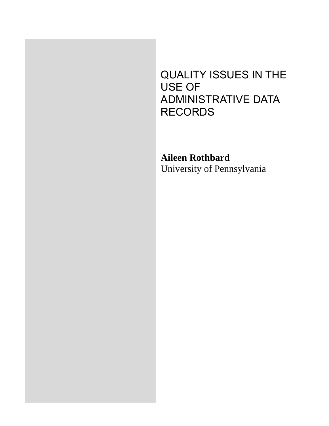# QUALITY ISSUES IN THE USE OF ADMINISTRATIVE DATA RECORDS

**Aileen Rothbard**  University of Pennsylvania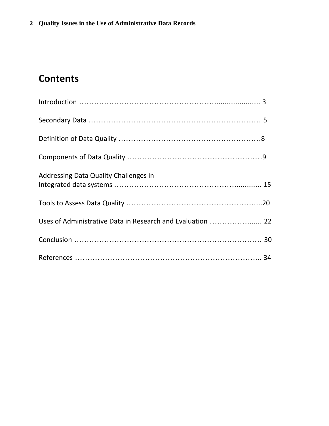# **Contents**

| Addressing Data Quality Challenges in                      |  |
|------------------------------------------------------------|--|
|                                                            |  |
| Uses of Administrative Data in Research and Evaluation  22 |  |
|                                                            |  |
|                                                            |  |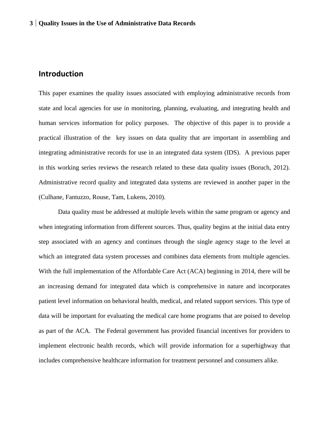## **Introduction**

This paper examines the quality issues associated with employing administrative records from state and local agencies for use in monitoring, planning, evaluating, and integrating health and human services information for policy purposes. The objective of this paper is to provide a practical illustration of the key issues on data quality that are important in assembling and integrating administrative records for use in an integrated data system (IDS). A previous paper in this working series reviews the research related to these data quality issues (Boruch, 2012). Administrative record quality and integrated data systems are reviewed in another paper in the (Culhane, Fantuzzo, Rouse, Tam, Lukens, 2010).

Data quality must be addressed at multiple levels within the same program or agency and when integrating information from different sources. Thus, quality begins at the initial data entry step associated with an agency and continues through the single agency stage to the level at which an integrated data system processes and combines data elements from multiple agencies. With the full implementation of the Affordable Care Act (ACA) beginning in 2014, there will be an increasing demand for integrated data which is comprehensive in nature and incorporates patient level information on behavioral health, medical, and related support services. This type of data will be important for evaluating the medical care home programs that are poised to develop as part of the ACA. The Federal government has provided financial incentives for providers to implement electronic health records, which will provide information for a superhighway that includes comprehensive healthcare information for treatment personnel and consumers alike.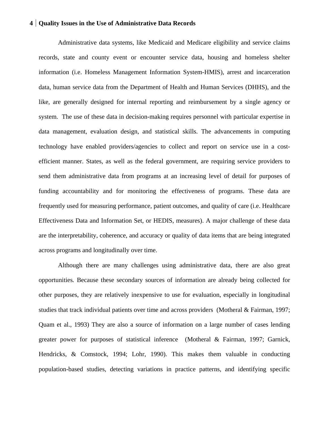Administrative data systems, like Medicaid and Medicare eligibility and service claims records, state and county event or encounter service data, housing and homeless shelter information (i.e. Homeless Management Information System-HMIS), arrest and incarceration data, human service data from the Department of Health and Human Services (DHHS), and the like, are generally designed for internal reporting and reimbursement by a single agency or system. The use of these data in decision-making requires personnel with particular expertise in data management, evaluation design, and statistical skills. The advancements in computing technology have enabled providers/agencies to collect and report on service use in a costefficient manner. States, as well as the federal government, are requiring service providers to send them administrative data from programs at an increasing level of detail for purposes of funding accountability and for monitoring the effectiveness of programs. These data are frequently used for measuring performance, patient outcomes, and quality of care (i.e. Healthcare Effectiveness Data and Information Set, or HEDIS, measures). A major challenge of these data are the interpretability, coherence, and accuracy or quality of data items that are being integrated across programs and longitudinally over time.

Although there are many challenges using administrative data, there are also great opportunities*.* Because these secondary sources of information are already being collected for other purposes, they are relatively inexpensive to use for evaluation, especially in longitudinal studies that track individual patients over time and across providers (Motheral & Fairman, 1997; Quam et al., 1993) They are also a source of information on a large number of cases lending greater power for purposes of statistical inference (Motheral & Fairman, 1997; Garnick, Hendricks, & Comstock, 1994; Lohr, 1990). This makes them valuable in conducting population-based studies, detecting variations in practice patterns, and identifying specific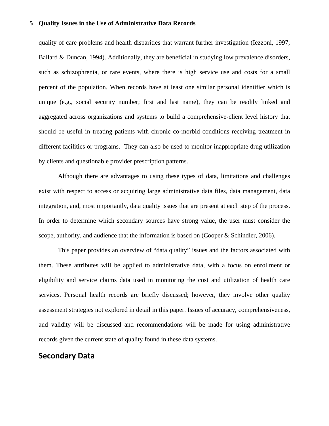quality of care problems and health disparities that warrant further investigation (Iezzoni, 1997; Ballard & Duncan, 1994). Additionally, they are beneficial in studying low prevalence disorders, such as schizophrenia, or rare events, where there is high service use and costs for a small percent of the population. When records have at least one similar personal identifier which is unique (e.g., social security number; first and last name), they can be readily linked and aggregated across organizations and systems to build a comprehensive-client level history that should be useful in treating patients with chronic co-morbid conditions receiving treatment in different facilities or programs. They can also be used to monitor inappropriate drug utilization by clients and questionable provider prescription patterns.

Although there are advantages to using these types of data, limitations and challenges exist with respect to access or acquiring large administrative data files, data management, data integration, and, most importantly, data quality issues that are present at each step of the process. In order to determine which secondary sources have strong value, the user must consider the scope, authority, and audience that the information is based on (Cooper & Schindler, 2006).

This paper provides an overview of "data quality" issues and the factors associated with them. These attributes will be applied to administrative data, with a focus on enrollment or eligibility and service claims data used in monitoring the cost and utilization of health care services. Personal health records are briefly discussed; however, they involve other quality assessment strategies not explored in detail in this paper. Issues of accuracy, comprehensiveness, and validity will be discussed and recommendations will be made for using administrative records given the current state of quality found in these data systems.

## **Secondary Data**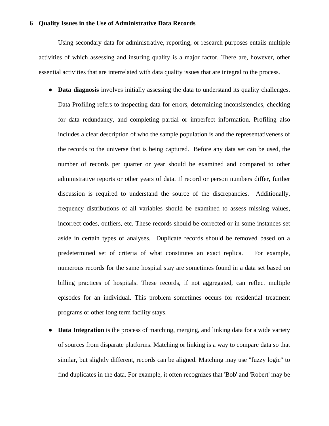Using secondary data for administrative, reporting, or research purposes entails multiple activities of which assessing and insuring quality is a major factor. There are, however, other essential activities that are interrelated with data quality issues that are integral to the process.

- **Data diagnosis** involves initially assessing the data to understand its quality challenges. Data Profiling refers to inspecting data for errors, determining inconsistencies, checking for data redundancy, and completing partial or imperfect information. Profiling also includes a clear description of who the sample population is and the representativeness of the records to the universe that is being captured. Before any data set can be used, the number of records per quarter or year should be examined and compared to other administrative reports or other years of data. If record or person numbers differ, further discussion is required to understand the source of the discrepancies. Additionally, frequency distributions of all variables should be examined to assess missing values, incorrect codes, outliers, etc. These records should be corrected or in some instances set aside in certain types of analyses. Duplicate records should be removed based on a predetermined set of criteria of what constitutes an exact replica. For example, numerous records for the same hospital stay are sometimes found in a data set based on billing practices of hospitals. These records, if not aggregated, can reflect multiple episodes for an individual. This problem sometimes occurs for residential treatment programs or other long term facility stays.
- **Data Integration** is the process of matching, merging, and linking data for a wide variety of sources from disparate platforms. Matching or linking is a way to compare data so that similar, but slightly different, records can be aligned. Matching may use "fuzzy logic" to find duplicates in the data. For example, it often recognizes that 'Bob' and 'Robert' may be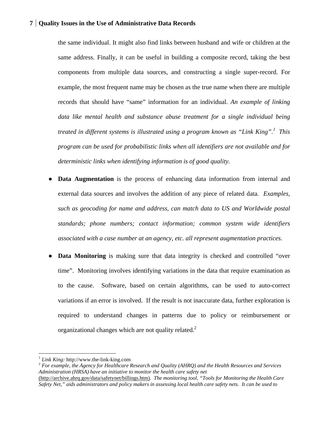the same individual. It might also find links between husband and wife or children at the same address. Finally, it can be useful in building a composite record, taking the best components from multiple data sources, and constructing a single super-record. For example, the most frequent name may be chosen as the true name when there are multiple records that should have "same" information for an individual. *An example of linking*  data like mental health and substance abuse treatment for a single individual being *treated in different systems is illustrated using a program known as "Link King".<sup>1</sup> This program can be used for probabilistic links when all identifiers are not available and for deterministic links when identifying information is of good quality.* 

- **Data Augmentation** is the process of enhancing data information from internal and external data sources and involves the addition of any piece of related data*. Examples, such as geocoding for name and address, can match data to US and Worldwide postal standards; phone numbers; contact information; common system wide identifiers associated with a case number at an agency, etc. all represent augmentation practices.*
- **Data Monitoring** is making sure that data integrity is checked and controlled "over time". Monitoring involves identifying variations in the data that require examination as to the cause. Software, based on certain algorithms, can be used to auto-correct variations if an error is involved. If the result is not inaccurate data, further exploration is required to understand changes in patterns due to policy or reimbursement or organizational changes which are not quality related. $2$

 $\overline{a}$ 

<sup>&</sup>lt;sup>1</sup> *Link King: http://www.the-link-king.com*<br><sup>2</sup> *For example, the Agency for Healthcare Research and Quality (AHRQ) and the Health Resources and Services Administration (HRSA) have an initiative to monitor the health care safety net*

<sup>(</sup>http://archive.ahrq.gov/data/safetynet/billings.htm). *The monitoring tool, "Tools for Monitoring the Health Care Safety Net," aids administrators and policy makers in assessing local health care safety nets. It can be used to*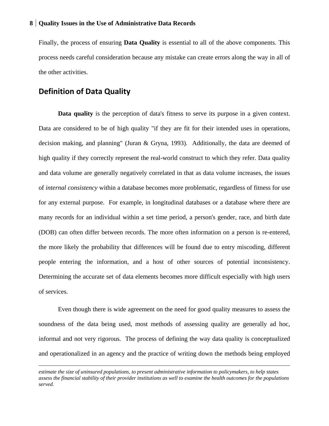Finally, the process of ensuring **Data Quality** is essential to all of the above components. This process needs careful consideration because any mistake can create errors along the way in all of the other activities.

## **Definition of Data Quality**

 $\overline{a}$ 

**Data quality** is the perception of data's fitness to serve its purpose in a given context. Data are considered to be of high quality "if they are fit for their intended uses in operations, decision making, and planning" (Juran & Gryna, 1993). Additionally, the data are deemed of high quality if they correctly represent the real-world construct to which they refer. Data quality and data volume are generally negatively correlated in that as data volume increases, the issues of *internal consistency* within a database becomes more problematic, regardless of fitness for use for any external purpose. For example, in longitudinal databases or a database where there are many records for an individual within a set time period, a person's gender, race, and birth date (DOB) can often differ between records. The more often information on a person is re-entered, the more likely the probability that differences will be found due to entry miscoding, different people entering the information, and a host of other sources of potential inconsistency. Determining the accurate set of data elements becomes more difficult especially with high users of services.

Even though there is wide agreement on the need for good quality measures to assess the soundness of the data being used, most methods of assessing quality are generally ad hoc, informal and not very rigorous. The process of defining the way data quality is conceptualized and operationalized in an agency and the practice of writing down the methods being employed

*estimate the size of uninsured populations, to present administrative information to policymakers, to help states assess the financial stability of their provider institutions as well to examine the health outcomes for the populations served.*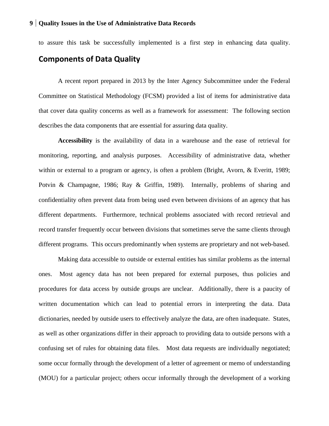to assure this task be successfully implemented is a first step in enhancing data quality. **Components of Data Quality**

A recent report prepared in 2013 by the Inter Agency Subcommittee under the Federal Committee on Statistical Methodology (FCSM) provided a list of items for administrative data that cover data quality concerns as well as a framework for assessment: The following section describes the data components that are essential for assuring data quality.

**Accessibility** is the availability of data in a warehouse and the ease of retrieval for monitoring, reporting, and analysis purposes. Accessibility of administrative data, whether within or external to a program or agency, is often a problem (Bright, Avorn, & Everitt, 1989; Potvin & Champagne, 1986; Ray & Griffin, 1989). Internally, problems of sharing and confidentiality often prevent data from being used even between divisions of an agency that has different departments. Furthermore, technical problems associated with record retrieval and record transfer frequently occur between divisions that sometimes serve the same clients through different programs. This occurs predominantly when systems are proprietary and not web-based.

Making data accessible to outside or external entities has similar problems as the internal ones. Most agency data has not been prepared for external purposes, thus policies and procedures for data access by outside groups are unclear. Additionally, there is a paucity of written documentation which can lead to potential errors in interpreting the data. Data dictionaries, needed by outside users to effectively analyze the data, are often inadequate. States, as well as other organizations differ in their approach to providing data to outside persons with a confusing set of rules for obtaining data files. Most data requests are individually negotiated; some occur formally through the development of a letter of agreement or memo of understanding (MOU) for a particular project; others occur informally through the development of a working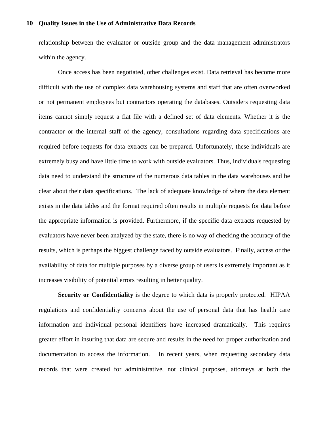relationship between the evaluator or outside group and the data management administrators within the agency.

Once access has been negotiated, other challenges exist. Data retrieval has become more difficult with the use of complex data warehousing systems and staff that are often overworked or not permanent employees but contractors operating the databases. Outsiders requesting data items cannot simply request a flat file with a defined set of data elements. Whether it is the contractor or the internal staff of the agency, consultations regarding data specifications are required before requests for data extracts can be prepared. Unfortunately, these individuals are extremely busy and have little time to work with outside evaluators. Thus, individuals requesting data need to understand the structure of the numerous data tables in the data warehouses and be clear about their data specifications. The lack of adequate knowledge of where the data element exists in the data tables and the format required often results in multiple requests for data before the appropriate information is provided. Furthermore, if the specific data extracts requested by evaluators have never been analyzed by the state, there is no way of checking the accuracy of the results, which is perhaps the biggest challenge faced by outside evaluators. Finally, access or the availability of data for multiple purposes by a diverse group of users is extremely important as it increases visibility of potential errors resulting in better quality.

**Security or Confidentiality** is the degree to which data is properly protected. HIPAA regulations and confidentiality concerns about the use of personal data that has health care information and individual personal identifiers have increased dramatically. This requires greater effort in insuring that data are secure and results in the need for proper authorization and documentation to access the information. In recent years, when requesting secondary data records that were created for administrative, not clinical purposes, attorneys at both the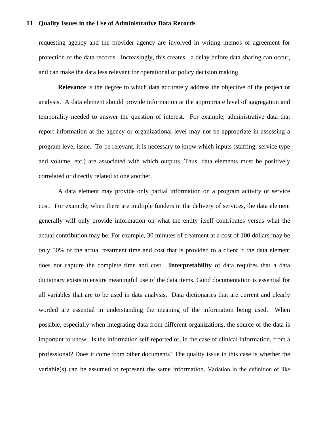requesting agency and the provider agency are involved in writing memos of agreement for protection of the data records. Increasingly, this creates a delay before data sharing can occur, and can make the data less relevant for operational or policy decision making.

**Relevance** is the degree to which data accurately address the objective of the project or analysis. A data element should provide information at the appropriate level of aggregation and temporality needed to answer the question of interest. For example, administrative data that report information at the agency or organizational level may not be appropriate in assessing a program level issue. To be relevant, it is necessary to know which inputs (staffing, service type and volume, etc.) are associated with which outputs. Thus, data elements must be positively correlated or directly related to one another.

A data element may provide only partial information on a program activity or service cost. For example, when there are multiple funders in the delivery of services, the data element generally will only provide information on what the entity itself contributes versus what the actual contribution may be. For example, 30 minutes of treatment at a cost of 100 dollars may be only 50% of the actual treatment time and cost that is provided to a client if the data element does not capture the complete time and cost. **Interpretability** of data requires that a data dictionary exists to ensure meaningful use of the data items. Good documentation is essential for all variables that are to be used in data analysis. Data dictionaries that are current and clearly worded are essential in understanding the meaning of the information being used. When possible, especially when integrating data from different organizations, the source of the data is important to know. Is the information self-reported or, in the case of clinical information, from a professional? Does it come from other documents? The quality issue in this case is whether the variable(s) can be assumed to represent the same information. Variation in the definition of like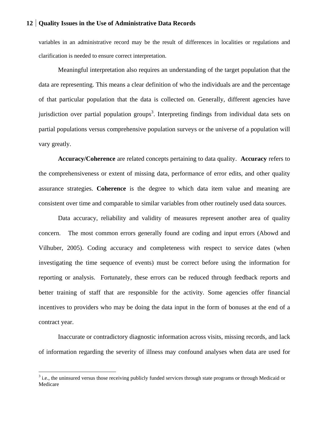variables in an administrative record may be the result of differences in localities or regulations and clarification is needed to ensure correct interpretation.

Meaningful interpretation also requires an understanding of the target population that the data are representing. This means a clear definition of who the individuals are and the percentage of that particular population that the data is collected on. Generally, different agencies have jurisdiction over partial population groups<sup>3</sup>. Interpreting findings from individual data sets on partial populations versus comprehensive population surveys or the universe of a population will vary greatly.

**Accuracy/Coherence** are related concepts pertaining to data quality. **Accuracy** refers to the comprehensiveness or extent of missing data, performance of error edits, and other quality assurance strategies. **Coherence** is the degree to which data item value and meaning are consistent over time and comparable to similar variables from other routinely used data sources.

Data accuracy, reliability and validity of measures represent another area of quality concern. The most common errors generally found are coding and input errors (Abowd and Vilhuber, 2005). Coding accuracy and completeness with respect to service dates (when investigating the time sequence of events) must be correct before using the information for reporting or analysis. Fortunately, these errors can be reduced through feedback reports and better training of staff that are responsible for the activity. Some agencies offer financial incentives to providers who may be doing the data input in the form of bonuses at the end of a contract year.

Inaccurate or contradictory diagnostic information across visits, missing records, and lack of information regarding the severity of illness may confound analyses when data are used for

 $\overline{a}$ 

 $3$  i.e., the uninsured versus those receiving publicly funded services through state programs or through Medicaid or Medicare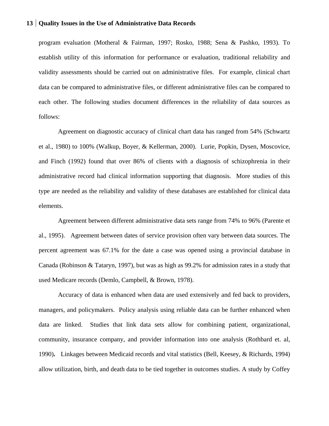program evaluation (Motheral & Fairman, 1997; Rosko, 1988; Sena & Pashko, 1993). To establish utility of this information for performance or evaluation, traditional reliability and validity assessments should be carried out on administrative files. For example, clinical chart data can be compared to administrative files, or different administrative files can be compared to each other. The following studies document differences in the reliability of data sources as follows:

Agreement on diagnostic accuracy of clinical chart data has ranged from 54% (Schwartz et al., 1980) to 100% (Walkup, Boyer, & Kellerman, 2000). Lurie, Popkin, Dysen, Moscovice, and Finch (1992) found that over 86% of clients with a diagnosis of schizophrenia in their administrative record had clinical information supporting that diagnosis. More studies of this type are needed as the reliability and validity of these databases are established for clinical data elements.

Agreement between different administrative data sets range from 74% to 96% (Parente et al., 1995). Agreement between dates of service provision often vary between data sources. The percent agreement was 67.1% for the date a case was opened using a provincial database in Canada (Robinson & Tataryn, 1997), but was as high as 99.2% for admission rates in a study that used Medicare records (Demlo, Campbell, & Brown, 1978).

Accuracy of data is enhanced when data are used extensively and fed back to providers, managers, and policymakers. Policy analysis using reliable data can be further enhanced when data are linked. Studies that link data sets allow for combining patient, organizational, community, insurance company, and provider information into one analysis (Rothbard et. al, 1990)**.** Linkages between Medicaid records and vital statistics (Bell, Keesey, & Richards, 1994) allow utilization, birth, and death data to be tied together in outcomes studies. A study by Coffey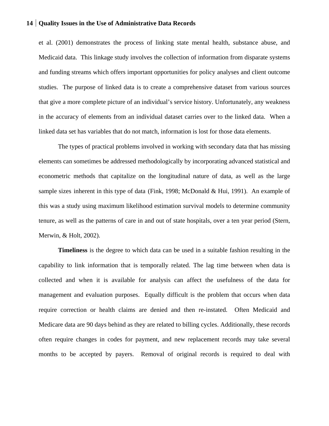et al. (2001) demonstrates the process of linking state mental health, substance abuse, and Medicaid data. This linkage study involves the collection of information from disparate systems and funding streams which offers important opportunities for policy analyses and client outcome studies. The purpose of linked data is to create a comprehensive dataset from various sources that give a more complete picture of an individual's service history. Unfortunately, any weakness in the accuracy of elements from an individual dataset carries over to the linked data. When a linked data set has variables that do not match, information is lost for those data elements.

The types of practical problems involved in working with secondary data that has missing elements can sometimes be addressed methodologically by incorporating advanced statistical and econometric methods that capitalize on the longitudinal nature of data, as well as the large sample sizes inherent in this type of data (Fink, 1998; McDonald & Hui, 1991). An example of this was a study using maximum likelihood estimation survival models to determine community tenure, as well as the patterns of care in and out of state hospitals, over a ten year period (Stern, Merwin, & Holt, 2002).

**Timeliness** is the degree to which data can be used in a suitable fashion resulting in the capability to link information that is temporally related. The lag time between when data is collected and when it is available for analysis can affect the usefulness of the data for management and evaluation purposes. Equally difficult is the problem that occurs when data require correction or health claims are denied and then re-instated. Often Medicaid and Medicare data are 90 days behind as they are related to billing cycles. Additionally, these records often require changes in codes for payment, and new replacement records may take several months to be accepted by payers. Removal of original records is required to deal with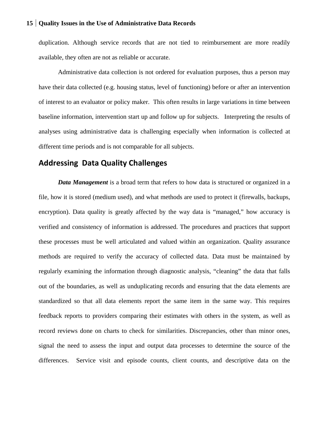duplication. Although service records that are not tied to reimbursement are more readily available, they often are not as reliable or accurate.

Administrative data collection is not ordered for evaluation purposes, thus a person may have their data collected (e.g. housing status, level of functioning) before or after an intervention of interest to an evaluator or policy maker. This often results in large variations in time between baseline information, intervention start up and follow up for subjects. Interpreting the results of analyses using administrative data is challenging especially when information is collected at different time periods and is not comparable for all subjects.

## **Addressing Data Quality Challenges**

*Data Management* is a broad term that refers to how data is structured or organized in a file, how it is stored (medium used), and what methods are used to protect it (firewalls, backups, encryption). Data quality is greatly affected by the way data is "managed," how accuracy is verified and consistency of information is addressed. The procedures and practices that support these processes must be well articulated and valued within an organization. Quality assurance methods are required to verify the accuracy of collected data. Data must be maintained by regularly examining the information through diagnostic analysis, "cleaning" the data that falls out of the boundaries, as well as unduplicating records and ensuring that the data elements are standardized so that all data elements report the same item in the same way. This requires feedback reports to providers comparing their estimates with others in the system, as well as record reviews done on charts to check for similarities. Discrepancies, other than minor ones, signal the need to assess the input and output data processes to determine the source of the differences. Service visit and episode counts, client counts, and descriptive data on the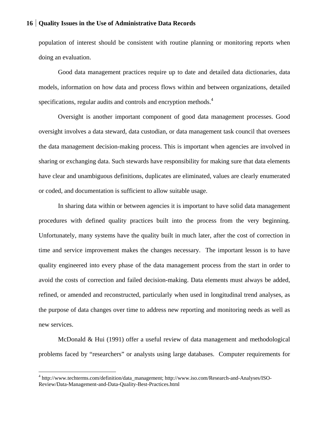population of interest should be consistent with routine planning or monitoring reports when doing an evaluation.

Good data management practices require up to date and detailed data dictionaries, data models, information on how data and process flows within and between organizations, detailed specifications, regular audits and controls and encryption methods.<sup>4</sup>

Oversight is another important component of good data management processes. Good oversight involves a data steward, data custodian, or data management task council that oversees the data management decision-making process. This is important when agencies are involved in sharing or exchanging data. Such stewards have responsibility for making sure that data elements have clear and unambiguous definitions, duplicates are eliminated, values are clearly enumerated or coded, and documentation is sufficient to allow suitable usage.

In sharing data within or between agencies it is important to have solid data management procedures with defined quality practices built into the process from the very beginning. Unfortunately, many systems have the quality built in much later, after the cost of correction in time and service improvement makes the changes necessary. The important lesson is to have quality engineered into every phase of the data management process from the start in order to avoid the costs of correction and failed decision-making. Data elements must always be added, refined, or amended and reconstructed, particularly when used in longitudinal trend analyses, as the purpose of data changes over time to address new reporting and monitoring needs as well as new services.

McDonald & Hui (1991) offer a useful review of data management and methodological problems faced by "researchers" or analysts using large databases. Computer requirements for

 $\overline{a}$ 

<sup>4</sup> http://www.techterms.com/definition/data\_management; http://www.iso.com/Research-and-Analyses/ISO-Review/Data-Management-and-Data-Quality-Best-Practices.html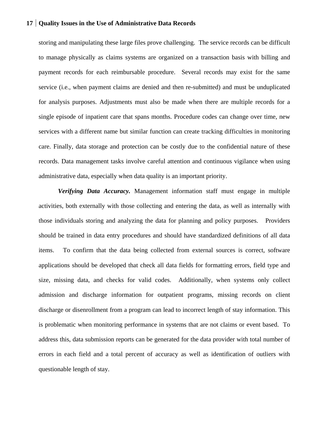storing and manipulating these large files prove challenging. The service records can be difficult to manage physically as claims systems are organized on a transaction basis with billing and payment records for each reimbursable procedure. Several records may exist for the same service (i.e., when payment claims are denied and then re-submitted) and must be unduplicated for analysis purposes. Adjustments must also be made when there are multiple records for a single episode of inpatient care that spans months. Procedure codes can change over time, new services with a different name but similar function can create tracking difficulties in monitoring care. Finally, data storage and protection can be costly due to the confidential nature of these records. Data management tasks involve careful attention and continuous vigilance when using administrative data, especially when data quality is an important priority.

*Verifying Data Accuracy.* Management information staff must engage in multiple activities, both externally with those collecting and entering the data, as well as internally with those individuals storing and analyzing the data for planning and policy purposes. Providers should be trained in data entry procedures and should have standardized definitions of all data items. To confirm that the data being collected from external sources is correct, software applications should be developed that check all data fields for formatting errors, field type and size, missing data, and checks for valid codes. Additionally, when systems only collect admission and discharge information for outpatient programs, missing records on client discharge or disenrollment from a program can lead to incorrect length of stay information. This is problematic when monitoring performance in systems that are not claims or event based. To address this, data submission reports can be generated for the data provider with total number of errors in each field and a total percent of accuracy as well as identification of outliers with questionable length of stay.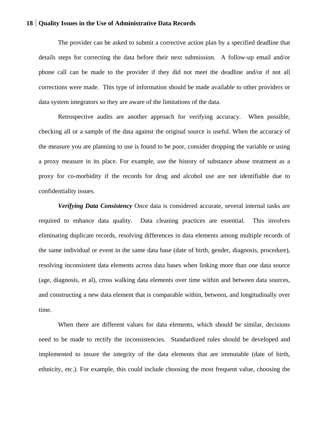The provider can be asked to submit a corrective action plan by a specified deadline that details steps for correcting the data before their next submission. A follow-up email and/or phone call can be made to the provider if they did not meet the deadline and/or if not all corrections were made. This type of information should be made available to other providers or data system integrators so they are aware of the limitations of the data.

Retrospective audits are another approach for verifying accuracy. When possible, checking all or a sample of the data against the original source is useful. When the accuracy of the measure you are planning to use is found to be poor, consider dropping the variable or using a proxy measure in its place. For example, use the history of substance abuse treatment as a proxy for co-morbidity if the records for drug and alcohol use are not identifiable due to confidentiality issues.

*Verifying Data Consistency* Once data is considered accurate, several internal tasks are required to enhance data quality. Data cleaning practices are essential. This involves eliminating duplicate records, resolving differences in data elements among multiple records of the same individual or event in the same data base (date of birth, gender, diagnosis, procedure), resolving inconsistent data elements across data bases when linking more than one data source (age, diagnosis, et al), cross walking data elements over time within and between data sources, and constructing a new data element that is comparable within, between, and longitudinally over time.

When there are different values for data elements, which should be similar, decisions need to be made to rectify the inconsistencies. Standardized rules should be developed and implemented to insure the integrity of the data elements that are immutable (date of birth, ethnicity, etc.). For example, this could include choosing the most frequent value, choosing the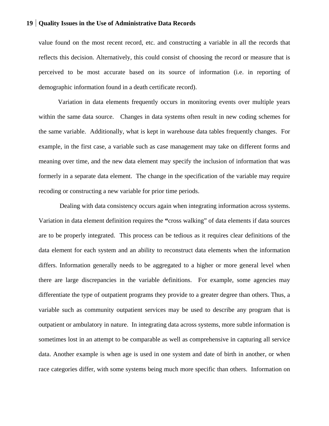value found on the most recent record, etc. and constructing a variable in all the records that reflects this decision. Alternatively, this could consist of choosing the record or measure that is perceived to be most accurate based on its source of information (i.e. in reporting of demographic information found in a death certificate record).

Variation in data elements frequently occurs in monitoring events over multiple years within the same data source. Changes in data systems often result in new coding schemes for the same variable. Additionally, what is kept in warehouse data tables frequently changes. For example, in the first case, a variable such as case management may take on different forms and meaning over time, and the new data element may specify the inclusion of information that was formerly in a separate data element. The change in the specification of the variable may require recoding or constructing a new variable for prior time periods.

 Dealing with data consistency occurs again when integrating information across systems. Variation in data element definition requires the **"**cross walking" of data elements if data sources are to be properly integrated. This process can be tedious as it requires clear definitions of the data element for each system and an ability to reconstruct data elements when the information differs. Information generally needs to be aggregated to a higher or more general level when there are large discrepancies in the variable definitions. For example, some agencies may differentiate the type of outpatient programs they provide to a greater degree than others. Thus, a variable such as community outpatient services may be used to describe any program that is outpatient or ambulatory in nature. In integrating data across systems, more subtle information is sometimes lost in an attempt to be comparable as well as comprehensive in capturing all service data. Another example is when age is used in one system and date of birth in another, or when race categories differ, with some systems being much more specific than others. Information on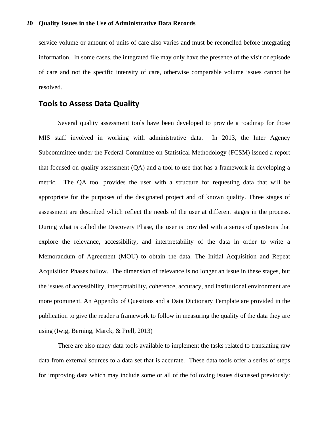service volume or amount of units of care also varies and must be reconciled before integrating information. In some cases, the integrated file may only have the presence of the visit or episode of care and not the specific intensity of care, otherwise comparable volume issues cannot be resolved.

### **Tools to Assess Data Quality**

Several quality assessment tools have been developed to provide a roadmap for those MIS staff involved in working with administrative data. In 2013, the Inter Agency Subcommittee under the Federal Committee on Statistical Methodology (FCSM) issued a report that focused on quality assessment (QA) and a tool to use that has a framework in developing a metric. The QA tool provides the user with a structure for requesting data that will be appropriate for the purposes of the designated project and of known quality. Three stages of assessment are described which reflect the needs of the user at different stages in the process. During what is called the Discovery Phase, the user is provided with a series of questions that explore the relevance, accessibility, and interpretability of the data in order to write a Memorandum of Agreement (MOU) to obtain the data. The Initial Acquisition and Repeat Acquisition Phases follow. The dimension of relevance is no longer an issue in these stages, but the issues of accessibility, interpretability, coherence, accuracy, and institutional environment are more prominent. An Appendix of Questions and a Data Dictionary Template are provided in the publication to give the reader a framework to follow in measuring the quality of the data they are using (Iwig, Berning, Marck, & Prell, 2013)

There are also many data tools available to implement the tasks related to translating raw data from external sources to a data set that is accurate. These data tools offer a series of steps for improving data which may include some or all of the following issues discussed previously: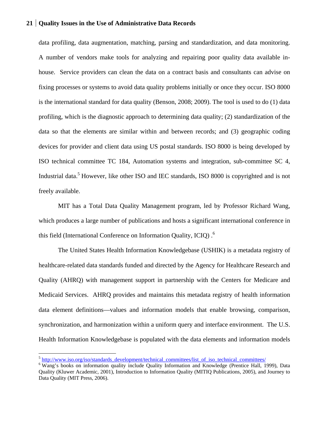data profiling, data augmentation, matching, parsing and standardization, and data monitoring. A number of vendors make tools for analyzing and repairing poor quality data available inhouse. Service providers can clean the data on a contract basis and consultants can advise on fixing processes or systems to avoid data quality problems initially or once they occur. ISO 8000 is the international standard for data quality (Benson, 2008; 2009). The tool is used to do (1) data profiling, which is the diagnostic approach to determining data quality; (2) standardization of the data so that the elements are similar within and between records; and (3) geographic coding devices for provider and client data using US postal standards. ISO 8000 is being developed by ISO technical committee TC 184, Automation systems and integration, sub-committee SC 4, Industrial data.<sup>5</sup> However, like other ISO and IEC standards, ISO 8000 is copyrighted and is not freely available.

MIT has a Total Data Quality Management program, led by Professor Richard Wang, which produces a large number of publications and hosts a significant international conference in this field (International Conference on Information Quality, ICIQ).<sup>6</sup>

The United States Health Information Knowledgebase (USHIK) is a metadata registry of healthcare-related data standards funded and directed by the Agency for Healthcare Research and Quality (AHRQ) with management support in partnership with the Centers for Medicare and Medicaid Services. AHRQ provides and maintains this metadata registry of health information data element definitions—values and information models that enable browsing, comparison, synchronization, and harmonization within a uniform query and interface environment. The U.S. Health Information Knowledgebase is populated with the data elements and information models

 $\overline{a}$ 

<sup>&</sup>lt;sup>5</sup> http://www.iso.org/iso/standards\_development/technical\_committees/list\_of\_iso\_technical\_committees/

<sup>&</sup>lt;sup>6</sup> Wang's books on information quality include Quality Information and Knowledge (Prentice Hall, 1999), Data Quality (Kluwer Academic, 2001), Introduction to Information Quality (MITIQ Publications, 2005), and Journey to Data Quality (MIT Press, 2006).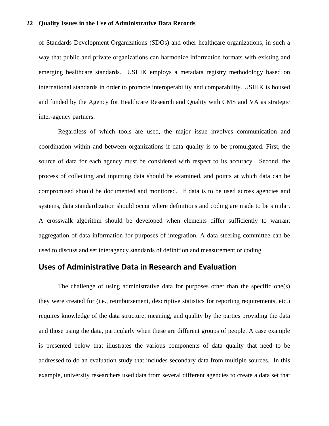of Standards Development Organizations (SDOs) and other healthcare organizations, in such a way that public and private organizations can harmonize information formats with existing and emerging healthcare standards. USHIK employs a metadata registry methodology based on international standards in order to promote interoperability and comparability. USHIK is housed and funded by the Agency for Healthcare Research and Quality with CMS and VA as strategic inter-agency partners.

Regardless of which tools are used, the major issue involves communication and coordination within and between organizations if data quality is to be promulgated. First, the source of data for each agency must be considered with respect to its accuracy. Second, the process of collecting and inputting data should be examined, and points at which data can be compromised should be documented and monitored. If data is to be used across agencies and systems, data standardization should occur where definitions and coding are made to be similar. A crosswalk algorithm should be developed when elements differ sufficiently to warrant aggregation of data information for purposes of integration. A data steering committee can be used to discuss and set interagency standards of definition and measurement or coding.

## **Uses of Administrative Data in Research and Evaluation**

The challenge of using administrative data for purposes other than the specific one(s) they were created for (i.e., reimbursement, descriptive statistics for reporting requirements, etc.) requires knowledge of the data structure, meaning, and quality by the parties providing the data and those using the data, particularly when these are different groups of people. A case example is presented below that illustrates the various components of data quality that need to be addressed to do an evaluation study that includes secondary data from multiple sources. In this example, university researchers used data from several different agencies to create a data set that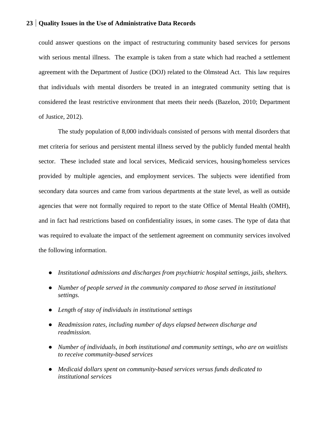could answer questions on the impact of restructuring community based services for persons with serious mental illness. The example is taken from a state which had reached a settlement agreement with the Department of Justice (DOJ) related to the Olmstead Act. This law requires that individuals with mental disorders be treated in an integrated community setting that is considered the least restrictive environment that meets their needs (Bazelon, 2010; Department of Justice, 2012).

The study population of 8,000 individuals consisted of persons with mental disorders that met criteria for serious and persistent mental illness served by the publicly funded mental health sector. These included state and local services, Medicaid services, housing/homeless services provided by multiple agencies, and employment services. The subjects were identified from secondary data sources and came from various departments at the state level, as well as outside agencies that were not formally required to report to the state Office of Mental Health (OMH), and in fact had restrictions based on confidentiality issues, in some cases. The type of data that was required to evaluate the impact of the settlement agreement on community services involved the following information.

- *Institutional admissions and discharges from psychiatric hospital settings, jails, shelters.*
- *Number of people served in the community compared to those served in institutional settings.*
- *Length of stay of individuals in institutional settings*
- *Readmission rates, including number of days elapsed between discharge and readmission.*
- *Number of individuals, in both institutional and community settings, who are on waitlists to receive community-based services*
- *Medicaid dollars spent on community-based services versus funds dedicated to institutional services*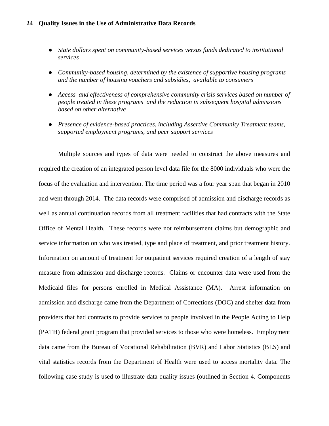- *State dollars spent on community-based services versus funds dedicated to institutional services*
- *Community-based housing, determined by the existence of supportive housing programs and the number of housing vouchers and subsidies, available to consumers*
- *Access and effectiveness of comprehensive community crisis services based on number of people treated in these programs and the reduction in subsequent hospital admissions based on other alternative*
- *Presence of evidence-based practices, including Assertive Community Treatment teams, supported employment programs, and peer support services*

Multiple sources and types of data were needed to construct the above measures and required the creation of an integrated person level data file for the 8000 individuals who were the focus of the evaluation and intervention. The time period was a four year span that began in 2010 and went through 2014. The data records were comprised of admission and discharge records as well as annual continuation records from all treatment facilities that had contracts with the State Office of Mental Health. These records were not reimbursement claims but demographic and service information on who was treated, type and place of treatment, and prior treatment history. Information on amount of treatment for outpatient services required creation of a length of stay measure from admission and discharge records. Claims or encounter data were used from the Medicaid files for persons enrolled in Medical Assistance (MA). Arrest information on admission and discharge came from the Department of Corrections (DOC) and shelter data from providers that had contracts to provide services to people involved in the People Acting to Help (PATH) federal grant program that provided services to those who were homeless. Employment data came from the Bureau of Vocational Rehabilitation (BVR) and Labor Statistics (BLS) and vital statistics records from the Department of Health were used to access mortality data. The following case study is used to illustrate data quality issues (outlined in Section 4. Components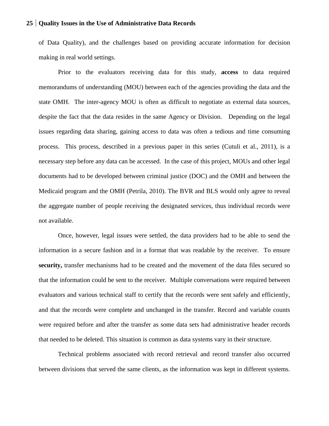of Data Quality), and the challenges based on providing accurate information for decision making in real world settings.

Prior to the evaluators receiving data for this study, **access** to data required memorandums of understanding (MOU) between each of the agencies providing the data and the state OMH. The inter-agency MOU is often as difficult to negotiate as external data sources, despite the fact that the data resides in the same Agency or Division. Depending on the legal issues regarding data sharing, gaining access to data was often a tedious and time consuming process. This process, described in a previous paper in this series (Cutuli et al., 2011), is a necessary step before any data can be accessed. In the case of this project, MOUs and other legal documents had to be developed between criminal justice (DOC) and the OMH and between the Medicaid program and the OMH (Petrila, 2010). The BVR and BLS would only agree to reveal the aggregate number of people receiving the designated services, thus individual records were not available.

Once, however, legal issues were settled, the data providers had to be able to send the information in a secure fashion and in a format that was readable by the receiver. To ensure **security,** transfer mechanisms had to be created and the movement of the data files secured so that the information could be sent to the receiver. Multiple conversations were required between evaluators and various technical staff to certify that the records were sent safely and efficiently, and that the records were complete and unchanged in the transfer. Record and variable counts were required before and after the transfer as some data sets had administrative header records that needed to be deleted. This situation is common as data systems vary in their structure.

Technical problems associated with record retrieval and record transfer also occurred between divisions that served the same clients, as the information was kept in different systems.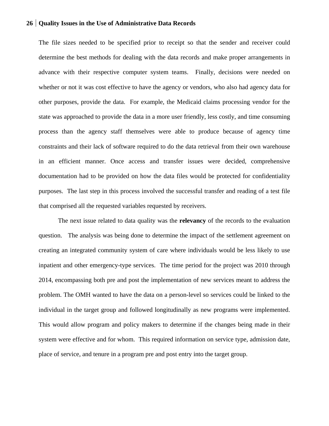The file sizes needed to be specified prior to receipt so that the sender and receiver could determine the best methods for dealing with the data records and make proper arrangements in advance with their respective computer system teams. Finally, decisions were needed on whether or not it was cost effective to have the agency or vendors, who also had agency data for other purposes, provide the data. For example, the Medicaid claims processing vendor for the state was approached to provide the data in a more user friendly, less costly, and time consuming process than the agency staff themselves were able to produce because of agency time constraints and their lack of software required to do the data retrieval from their own warehouse in an efficient manner. Once access and transfer issues were decided, comprehensive documentation had to be provided on how the data files would be protected for confidentiality purposes. The last step in this process involved the successful transfer and reading of a test file that comprised all the requested variables requested by receivers.

The next issue related to data quality was the **relevancy** of the records to the evaluation question. The analysis was being done to determine the impact of the settlement agreement on creating an integrated community system of care where individuals would be less likely to use inpatient and other emergency-type services.The time period for the project was 2010 through 2014, encompassing both pre and post the implementation of new services meant to address the problem. The OMH wanted to have the data on a person-level so services could be linked to the individual in the target group and followed longitudinally as new programs were implemented. This would allow program and policy makers to determine if the changes being made in their system were effective and for whom. This required information on service type, admission date, place of service, and tenure in a program pre and post entry into the target group.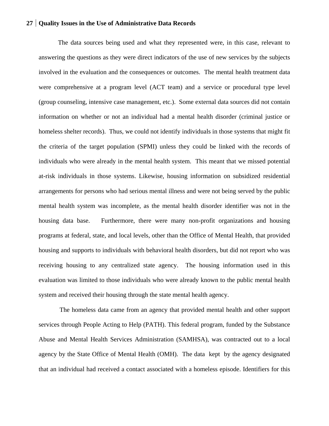The data sources being used and what they represented were, in this case, relevant to answering the questions as they were direct indicators of the use of new services by the subjects involved in the evaluation and the consequences or outcomes. The mental health treatment data were comprehensive at a program level (ACT team) and a service or procedural type level (group counseling, intensive case management, etc.). Some external data sources did not contain information on whether or not an individual had a mental health disorder (criminal justice or homeless shelter records). Thus, we could not identify individuals in those systems that might fit the criteria of the target population (SPMI) unless they could be linked with the records of individuals who were already in the mental health system. This meant that we missed potential at-risk individuals in those systems. Likewise, housing information on subsidized residential arrangements for persons who had serious mental illness and were not being served by the public mental health system was incomplete, as the mental health disorder identifier was not in the housing data base.Furthermore, there were many non-profit organizations and housing programs at federal, state, and local levels, other than the Office of Mental Health, that provided housing and supports to individuals with behavioral health disorders, but did not report who was receiving housing to any centralized state agency. The housing information used in this evaluation was limited to those individuals who were already known to the public mental health system and received their housing through the state mental health agency.

 The homeless data came from an agency that provided mental health and other support services through People Acting to Help (PATH). This federal program, funded by the Substance Abuse and Mental Health Services Administration (SAMHSA), was contracted out to a local agency by the State Office of Mental Health (OMH). The data kept by the agency designated that an individual had received a contact associated with a homeless episode. Identifiers for this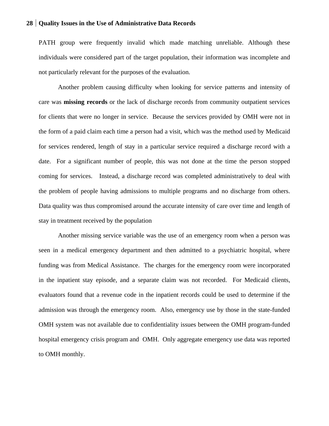PATH group were frequently invalid which made matching unreliable. Although these individuals were considered part of the target population, their information was incomplete and not particularly relevant for the purposes of the evaluation.

Another problem causing difficulty when looking for service patterns and intensity of care was **missing records** or the lack of discharge records from community outpatient services for clients that were no longer in service. Because the services provided by OMH were not in the form of a paid claim each time a person had a visit, which was the method used by Medicaid for services rendered, length of stay in a particular service required a discharge record with a date. For a significant number of people, this was not done at the time the person stopped coming for services. Instead, a discharge record was completed administratively to deal with the problem of people having admissions to multiple programs and no discharge from others. Data quality was thus compromised around the accurate intensity of care over time and length of stay in treatment received by the population

Another missing service variable was the use of an emergency room when a person was seen in a medical emergency department and then admitted to a psychiatric hospital, where funding was from Medical Assistance. The charges for the emergency room were incorporated in the inpatient stay episode, and a separate claim was not recorded. For Medicaid clients, evaluators found that a revenue code in the inpatient records could be used to determine if the admission was through the emergency room. Also, emergency use by those in the state-funded OMH system was not available due to confidentiality issues between the OMH program-funded hospital emergency crisis program and OMH. Only aggregate emergency use data was reported to OMH monthly.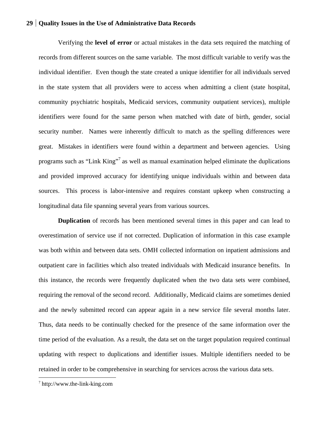Verifying the **level of error** or actual mistakes in the data sets required the matching of records from different sources on the same variable. The most difficult variable to verify was the individual identifier. Even though the state created a unique identifier for all individuals served in the state system that all providers were to access when admitting a client (state hospital, community psychiatric hospitals, Medicaid services, community outpatient services), multiple identifiers were found for the same person when matched with date of birth, gender, social security number. Names were inherently difficult to match as the spelling differences were great. Mistakes in identifiers were found within a department and between agencies. Using programs such as "Link King"<sup>7</sup> as well as manual examination helped eliminate the duplications and provided improved accuracy for identifying unique individuals within and between data sources. This process is labor-intensive and requires constant upkeep when constructing a longitudinal data file spanning several years from various sources.

**Duplication** of records has been mentioned several times in this paper and can lead to overestimation of service use if not corrected. Duplication of information in this case example was both within and between data sets. OMH collected information on inpatient admissions and outpatient care in facilities which also treated individuals with Medicaid insurance benefits. In this instance, the records were frequently duplicated when the two data sets were combined, requiring the removal of the second record. Additionally, Medicaid claims are sometimes denied and the newly submitted record can appear again in a new service file several months later. Thus, data needs to be continually checked for the presence of the same information over the time period of the evaluation. As a result, the data set on the target population required continual updating with respect to duplications and identifier issues. Multiple identifiers needed to be retained in order to be comprehensive in searching for services across the various data sets.

 $\overline{a}$ 

<sup>7</sup> http://www.the-link-king.com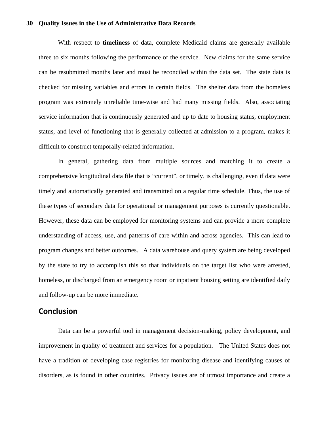With respect to **timeliness** of data, complete Medicaid claims are generally available three to six months following the performance of the service. New claims for the same service can be resubmitted months later and must be reconciled within the data set. The state data is checked for missing variables and errors in certain fields. The shelter data from the homeless program was extremely unreliable time-wise and had many missing fields. Also, associating service information that is continuously generated and up to date to housing status, employment status, and level of functioning that is generally collected at admission to a program, makes it difficult to construct temporally-related information.

In general, gathering data from multiple sources and matching it to create a comprehensive longitudinal data file that is "current", or timely, is challenging, even if data were timely and automatically generated and transmitted on a regular time schedule. Thus, the use of these types of secondary data for operational or management purposes is currently questionable. However, these data can be employed for monitoring systems and can provide a more complete understanding of access, use, and patterns of care within and across agencies. This can lead to program changes and better outcomes. A data warehouse and query system are being developed by the state to try to accomplish this so that individuals on the target list who were arrested, homeless, or discharged from an emergency room or inpatient housing setting are identified daily and follow-up can be more immediate.

## **Conclusion**

Data can be a powerful tool in management decision-making, policy development, and improvement in quality of treatment and services for a population. The United States does not have a tradition of developing case registries for monitoring disease and identifying causes of disorders, as is found in other countries. Privacy issues are of utmost importance and create a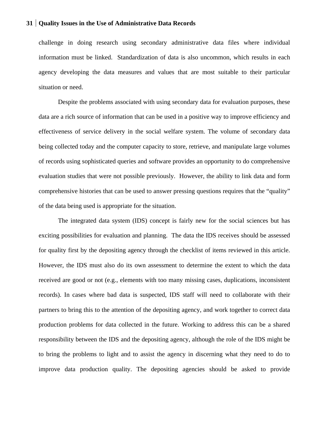challenge in doing research using secondary administrative data files where individual information must be linked. Standardization of data is also uncommon, which results in each agency developing the data measures and values that are most suitable to their particular situation or need.

Despite the problems associated with using secondary data for evaluation purposes, these data are a rich source of information that can be used in a positive way to improve efficiency and effectiveness of service delivery in the social welfare system. The volume of secondary data being collected today and the computer capacity to store, retrieve, and manipulate large volumes of records using sophisticated queries and software provides an opportunity to do comprehensive evaluation studies that were not possible previously. However, the ability to link data and form comprehensive histories that can be used to answer pressing questions requires that the "quality" of the data being used is appropriate for the situation.

The integrated data system (IDS) concept is fairly new for the social sciences but has exciting possibilities for evaluation and planning. The data the IDS receives should be assessed for quality first by the depositing agency through the checklist of items reviewed in this article. However, the IDS must also do its own assessment to determine the extent to which the data received are good or not (e.g., elements with too many missing cases, duplications, inconsistent records). In cases where bad data is suspected, IDS staff will need to collaborate with their partners to bring this to the attention of the depositing agency, and work together to correct data production problems for data collected in the future. Working to address this can be a shared responsibility between the IDS and the depositing agency, although the role of the IDS might be to bring the problems to light and to assist the agency in discerning what they need to do to improve data production quality. The depositing agencies should be asked to provide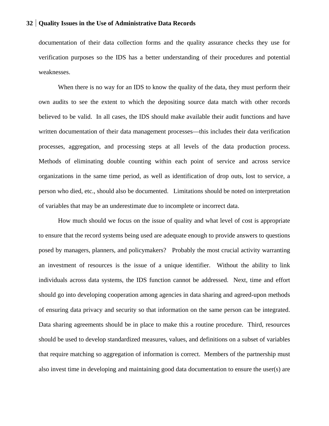documentation of their data collection forms and the quality assurance checks they use for verification purposes so the IDS has a better understanding of their procedures and potential weaknesses.

When there is no way for an IDS to know the quality of the data, they must perform their own audits to see the extent to which the depositing source data match with other records believed to be valid. In all cases, the IDS should make available their audit functions and have written documentation of their data management processes—this includes their data verification processes, aggregation, and processing steps at all levels of the data production process. Methods of eliminating double counting within each point of service and across service organizations in the same time period, as well as identification of drop outs, lost to service, a person who died, etc., should also be documented. Limitations should be noted on interpretation of variables that may be an underestimate due to incomplete or incorrect data.

How much should we focus on the issue of quality and what level of cost is appropriate to ensure that the record systems being used are adequate enough to provide answers to questions posed by managers, planners, and policymakers? Probably the most crucial activity warranting an investment of resources is the issue of a unique identifier. Without the ability to link individuals across data systems, the IDS function cannot be addressed. Next, time and effort should go into developing cooperation among agencies in data sharing and agreed-upon methods of ensuring data privacy and security so that information on the same person can be integrated. Data sharing agreements should be in place to make this a routine procedure. Third, resources should be used to develop standardized measures, values, and definitions on a subset of variables that require matching so aggregation of information is correct. Members of the partnership must also invest time in developing and maintaining good data documentation to ensure the user(s) are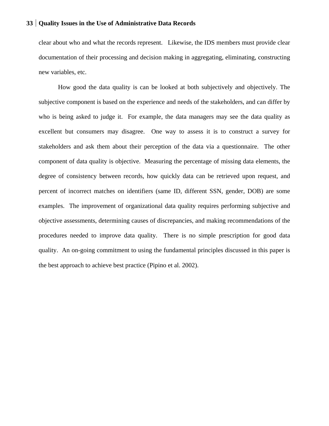clear about who and what the records represent. Likewise, the IDS members must provide clear documentation of their processing and decision making in aggregating, eliminating, constructing new variables, etc.

How good the data quality is can be looked at both subjectively and objectively. The subjective component is based on the experience and needs of the stakeholders, and can differ by who is being asked to judge it. For example, the data managers may see the data quality as excellent but consumers may disagree. One way to assess it is to construct a survey for stakeholders and ask them about their perception of the data via a questionnaire. The other component of data quality is objective. Measuring the percentage of missing data elements, the degree of consistency between records, how quickly data can be retrieved upon request, and percent of incorrect matches on identifiers (same ID, different SSN, gender, DOB) are some examples. The improvement of organizational data quality requires performing subjective and objective assessments, determining causes of discrepancies, and making recommendations of the procedures needed to improve data quality. There is no simple prescription for good data quality. An on-going commitment to using the fundamental principles discussed in this paper is the best approach to achieve best practice (Pipino et al. 2002).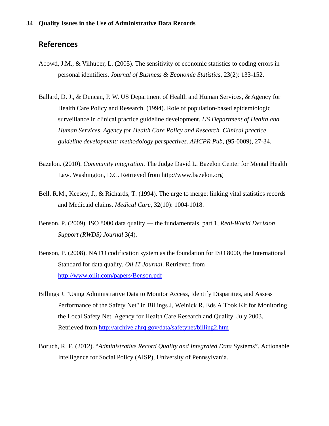## **References**

- Abowd, J.M., & Vilhuber, L. (2005). The sensitivity of economic statistics to coding errors in personal identifiers. *Journal of Business & Economic Statistics*, 23(2): 133-152.
- Ballard, D. J., & Duncan, P. W. US Department of Health and Human Services, & Agency for Health Care Policy and Research. (1994). Role of population-based epidemiologic surveillance in clinical practice guideline development. *US Department of Health and Human Services, Agency for Health Care Policy and Research. Clinical practice guideline development: methodology perspectives. AHCPR Pub*, (95-0009), 27-34.
- Bazelon. (2010). *Community integration*. The Judge David L. Bazelon Center for Mental Health Law. Washington, D.C. Retrieved from http://www.bazelon.org
- Bell, R.M., Keesey, J., & Richards, T. (1994). The urge to merge: linking vital statistics records and Medicaid claims. *Medical Care,* 32(10): 1004-1018.
- Benson, P. (2009). ISO 8000 data quality the fundamentals, part 1, *Real-World Decision Support (RWDS) Journal* 3(4).
- Benson, P. (2008). NATO codification system as the foundation for ISO 8000, the International Standard for data quality. *Oil IT Journal*. Retrieved from http://www.oilit.com/papers/Benson.pdf
- Billings J. "Using Administrative Data to Monitor Access, Identify Disparities, and Assess Performance of the Safety Net" in Billings J, Weinick R. Eds A Took Kit for Monitoring the Local Safety Net. Agency for Health Care Research and Quality. July 2003. Retrieved from http://archive.ahrq.gov/data/safetynet/billing2.htm
- Boruch, R. F. (2012). "*Administrative Record Quality and Integrated Data* Systems". Actionable Intelligence for Social Policy (AISP), University of Pennsylvania.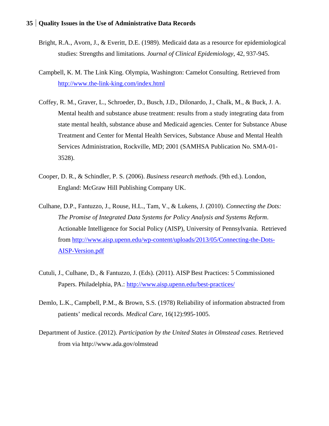- Bright, R.A., Avorn, J., & Everitt, D.E. (1989). Medicaid data as a resource for epidemiological studies: Strengths and limitations*. Journal of Clinical Epidemiology*, 42, 937-945.
- Campbell, K. M. The Link King. Olympia, Washington: Camelot Consulting. Retrieved from http://www.the-link-king.com/index.html
- Coffey, R. M., Graver, L., Schroeder, D., Busch, J.D., Dilonardo, J., Chalk, M., & Buck, J. A. Mental health and substance abuse treatment: results from a study integrating data from state mental health, substance abuse and Medicaid agencies. Center for Substance Abuse Treatment and Center for Mental Health Services, Substance Abuse and Mental Health Services Administration, Rockville, MD; 2001 (SAMHSA Publication No. SMA-01- 3528).
- Cooper, D. R., & Schindler, P. S. (2006). *Business research methods*. (9th ed.). London, England: McGraw Hill Publishing Company UK.
- Culhane, D.P., Fantuzzo, J., Rouse, H.L., Tam, V., & Lukens, J. (2010). *Connecting the Dots: The Promise of Integrated Data Systems for Policy Analysis and Systems Reform*. Actionable Intelligence for Social Policy (AISP), University of Pennsylvania. Retrieved from http://www.aisp.upenn.edu/wp-content/uploads/2013/05/Connecting-the-Dots-AISP-Version.pdf
- Cutuli, J., Culhane, D., & Fantuzzo, J. (Eds). (2011). AISP Best Practices: 5 Commissioned Papers. Philadelphia, PA.: http://www.aisp.upenn.edu/best-practices/
- Demlo, L.K., Campbell, P.M., & Brown, S.S. (1978) Reliability of information abstracted from patients' medical records. *Medical Care*, 16(12):995-1005.
- Department of Justice. (2012). *Participation by the United States in Olmstead cases*. Retrieved from via http://www.ada.gov/olmstead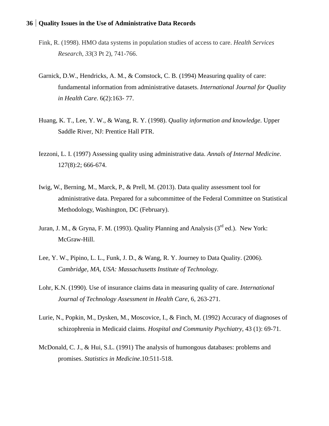- Fink, R. (1998). HMO data systems in population studies of access to care. *Health Services Research*, *33*(3 Pt 2), 741-766.
- Garnick, D.W., Hendricks, A. M., & Comstock, C. B. (1994) Measuring quality of care: fundamental information from administrative datasets. *International Journal for Quality in Health Care*. 6(2):163- 77.
- Huang, K. T., Lee, Y. W., & Wang, R. Y. (1998). *Quality information and knowledge*. Upper Saddle River, NJ: Prentice Hall PTR.
- Iezzoni, L. I. (1997) Assessing quality using administrative data. *Annals of Internal Medicine*. 127(8):2; 666-674.
- Iwig, W., Berning, M., Marck, P., & Prell, M. (2013). Data quality assessment tool for administrative data. Prepared for a subcommittee of the Federal Committee on Statistical Methodology, Washington, DC (February).
- Juran, J. M., & Gryna, F. M. (1993). Quality Planning and Analysis  $(3<sup>rd</sup>$  ed.). New York: McGraw-Hill.
- Lee, Y. W., Pipino, L. L., Funk, J. D., & Wang, R. Y. Journey to Data Quality. (2006). *Cambridge, MA, USA: Massachusetts Institute of Technology.*
- Lohr, K.N. (1990). Use of insurance claims data in measuring quality of care. *International Journal of Technology Assessment in Health Care*, 6, 263-271.
- Lurie, N., Popkin, M., Dysken, M., Moscovice, I., & Finch, M. (1992) Accuracy of diagnoses of schizophrenia in Medicaid claims. *Hospital and Community Psychiatry,* 43 (1): 69-71.
- McDonald, C. J., & Hui, S.L. (1991) The analysis of humongous databases: problems and promises. *Statistics in Medicine*.10:511-518.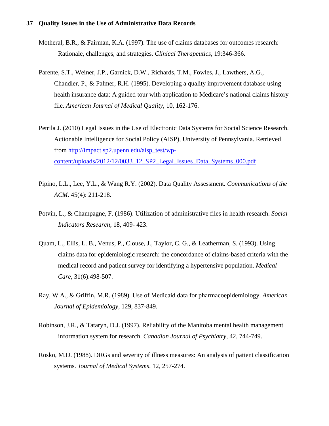- Motheral, B.R., & Fairman, K.A. (1997). The use of claims databases for outcomes research: Rationale, challenges, and strategies. *Clinical Therapeutics*, 19:346-366.
- Parente, S.T., Weiner, J.P., Garnick, D.W., Richards, T.M., Fowles, J., Lawthers, A.G., Chandler, P., & Palmer, R.H. (1995). Developing a quality improvement database using health insurance data: A guided tour with application to Medicare's national claims history file. *American Journal of Medical Quality*, 10, 162-176.
- Petrila J. (2010) Legal Issues in the Use of Electronic Data Systems for Social Science Research. Actionable Intelligence for Social Policy (AISP), University of Pennsylvania. Retrieved from http://impact.sp2.upenn.edu/aisp\_test/wpcontent/uploads/2012/12/0033\_12\_SP2\_Legal\_Issues\_Data\_Systems\_000.pdf
- Pipino, L.L., Lee, Y.L., & Wang R.Y. (2002). Data Quality Assessment*. Communications of the ACM.* 45(4): 211-218.
- Potvin, L., & Champagne, F. (1986). Utilization of administrative files in health research. *Social Indicators Research*, 18, 409- 423.
- Quam, L., Ellis, L. B., Venus, P., Clouse, J., Taylor, C. G., & Leatherman, S. (1993). Using claims data for epidemiologic research: the concordance of claims-based criteria with the medical record and patient survey for identifying a hypertensive population. *Medical Care*, 31(6):498-507.
- Ray, W.A., & Griffin, M.R. (1989). Use of Medicaid data for pharmacoepidemiology. *American Journal of Epidemiology*, 129, 837-849.
- Robinson, J.R., & Tataryn, D.J. (1997). Reliability of the Manitoba mental health management information system for research. *Canadian Journal of Psychiatry*, 42, 744-749.
- Rosko, M.D. (1988). DRGs and severity of illness measures: An analysis of patient classification systems. *Journal of Medical Systems*, 12, 257-274.